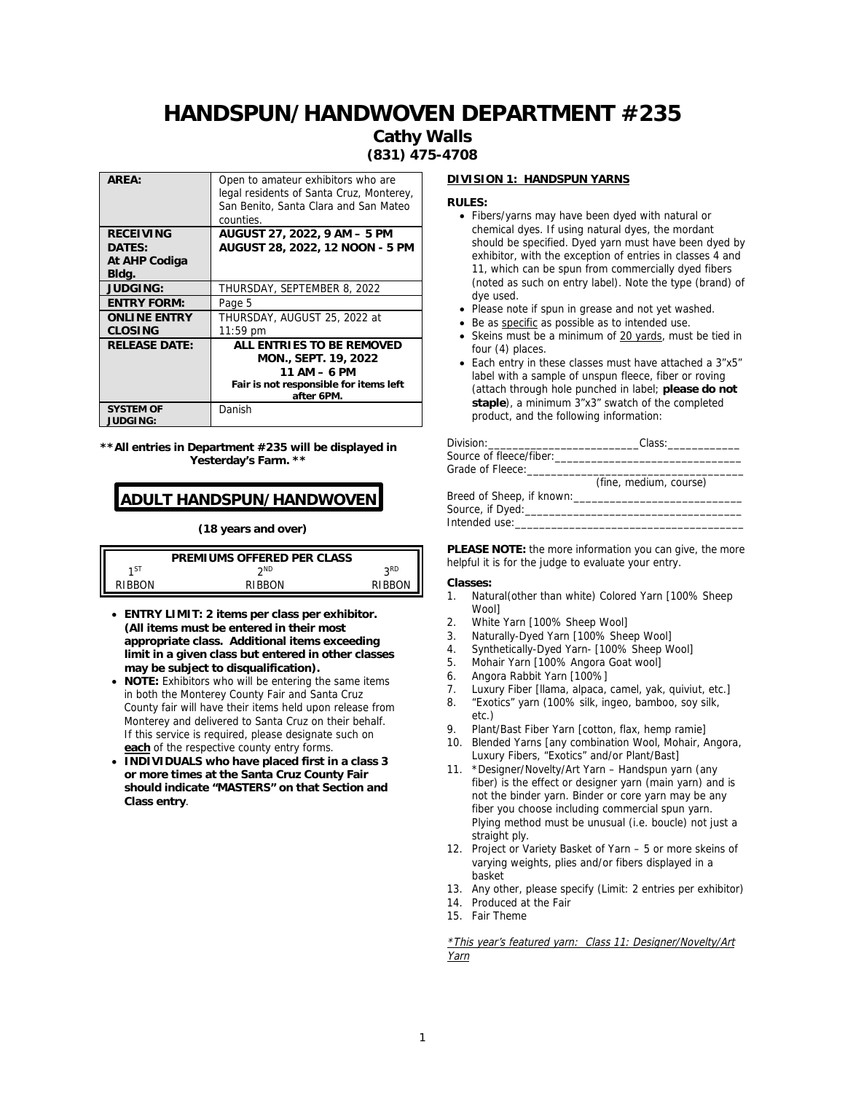#### **Cathy Walls (831) 475-4708**

| AREA:                | Open to amateur exhibitors who are<br>legal residents of Santa Cruz, Monterey,<br>San Benito, Santa Clara and San Mateo<br>counties. |
|----------------------|--------------------------------------------------------------------------------------------------------------------------------------|
| <b>RECEIVING</b>     | AUGUST 27, 2022, 9 AM - 5 PM                                                                                                         |
| DATES:               | AUGUST 28, 2022, 12 NOON - 5 PM                                                                                                      |
| At AHP Codiga        |                                                                                                                                      |
| Bldg.                |                                                                                                                                      |
| <b>JUDGING:</b>      | THURSDAY, SEPTEMBER 8, 2022                                                                                                          |
| <b>ENTRY FORM:</b>   | Page 5                                                                                                                               |
| <b>ONLINE ENTRY</b>  | THURSDAY, AUGUST 25, 2022 at                                                                                                         |
| CLOSING              | $11:59$ pm                                                                                                                           |
| <b>RELEASE DATE:</b> | ALL ENTRIES TO BE REMOVED                                                                                                            |
|                      | MON., SEPT. 19, 2022                                                                                                                 |
|                      | $11 AM - 6 PM$                                                                                                                       |
|                      | Fair is not responsible for items left                                                                                               |
|                      | after 6PM.                                                                                                                           |
| SYSTEM OF            | Danish                                                                                                                               |
| <b>JUDGING:</b>      |                                                                                                                                      |

**\*\*All entries in Department #235 will be displayed in Yesterday's Farm. \*\***

## **ADULT HANDSPUN/HANDWOVEN**

**(18 years and over)**

|       | PREMIUMS OFFERED PER CLASS |                 |
|-------|----------------------------|-----------------|
| 1 S I | ንND                        | o <sub>RD</sub> |
| IRR∩N | RIBRON                     | RIRRON          |

- **ENTRY LIMIT: 2 items per class per exhibitor. (All items must be entered in their most appropriate class. Additional items exceeding limit in a given class but entered in other classes may be subject to disqualification).**
- **NOTE:** Exhibitors who will be entering the same items in both the Monterey County Fair and Santa Cruz County fair will have their items held upon release from Monterey and delivered to Santa Cruz on their behalf. If this service is required, please designate such on **each** of the respective county entry forms.
- **INDIVIDUALS who have placed first in a class 3 or more times at the Santa Cruz County Fair should indicate "MASTERS" on that Section and Class entry**.

#### **DIVISION 1: HANDSPUN YARNS**

**RULES:**

- Fibers/yarns may have been dyed with natural or chemical dyes. If using natural dyes, the mordant should be specified. Dyed yarn must have been dyed by exhibitor, with the exception of entries in classes 4 and 11, which can be spun from commercially dyed fibers (noted as such on entry label). Note the type (brand) of dye used.
- Please note if spun in grease and not yet washed.
- Be as specific as possible as to intended use.
- Skeins must be a minimum of 20 yards, must be tied in four (4) places.
- Each entry in these classes must have attached a 3"x5" label with a sample of unspun fleece, fiber or roving (attach through hole punched in label; **please do not staple**), a minimum 3"x3" swatch of the completed product, and the following information:

|                         | Class:                 |
|-------------------------|------------------------|
| Source of fleece/fiber: |                        |
| Grade of Fleece:        |                        |
|                         | (fine, medium, course) |
|                         |                        |
|                         |                        |
| Intended use:           |                        |

**PLEASE NOTE:** the more information you can give, the more helpful it is for the judge to evaluate your entry.

#### **Classes:**

- 1. Natural(other than white) Colored Yarn [100% Sheep Wool]
- 2. White Yarn [100% Sheep Wool]<br>3. Naturally-Dyed Yarn [100% Shee
- Naturally-Dyed Yarn [100% Sheep Wool]
- 4. Synthetically-Dyed Yarn- [100% Sheep Wool]
- 5. Mohair Yarn [100% Angora Goat wool]
- 6. Angora Rabbit Yarn [100%]
- 7. Luxury Fiber [llama, alpaca, camel, yak, quiviut, etc.]
- 8. "Exotics" yarn (100% silk, ingeo, bamboo, soy silk, etc.)
- 9. Plant/Bast Fiber Yarn [cotton, flax, hemp ramie]<br>10. Blended Yarns Jany combination Wool, Mohair, A
- Blended Yarns [any combination Wool, Mohair, Angora, Luxury Fibers, "Exotics" and/or Plant/Bast]
- 11. \*Designer/Novelty/Art Yarn Handspun yarn (any fiber) is the effect or designer yarn (main yarn) and is not the binder yarn. Binder or core yarn may be any fiber you choose including commercial spun yarn. Plying method must be unusual (i.e. boucle) not just a straight ply.
- 12. Project or Variety Basket of Yarn 5 or more skeins of varying weights, plies and/or fibers displayed in a basket
- 13. Any other, please specify (Limit: 2 entries per exhibitor)
- 14. Produced at the Fair
- 15. Fair Theme

\*This year's featured yarn: Class 11: Designer/Novelty/Art Yarn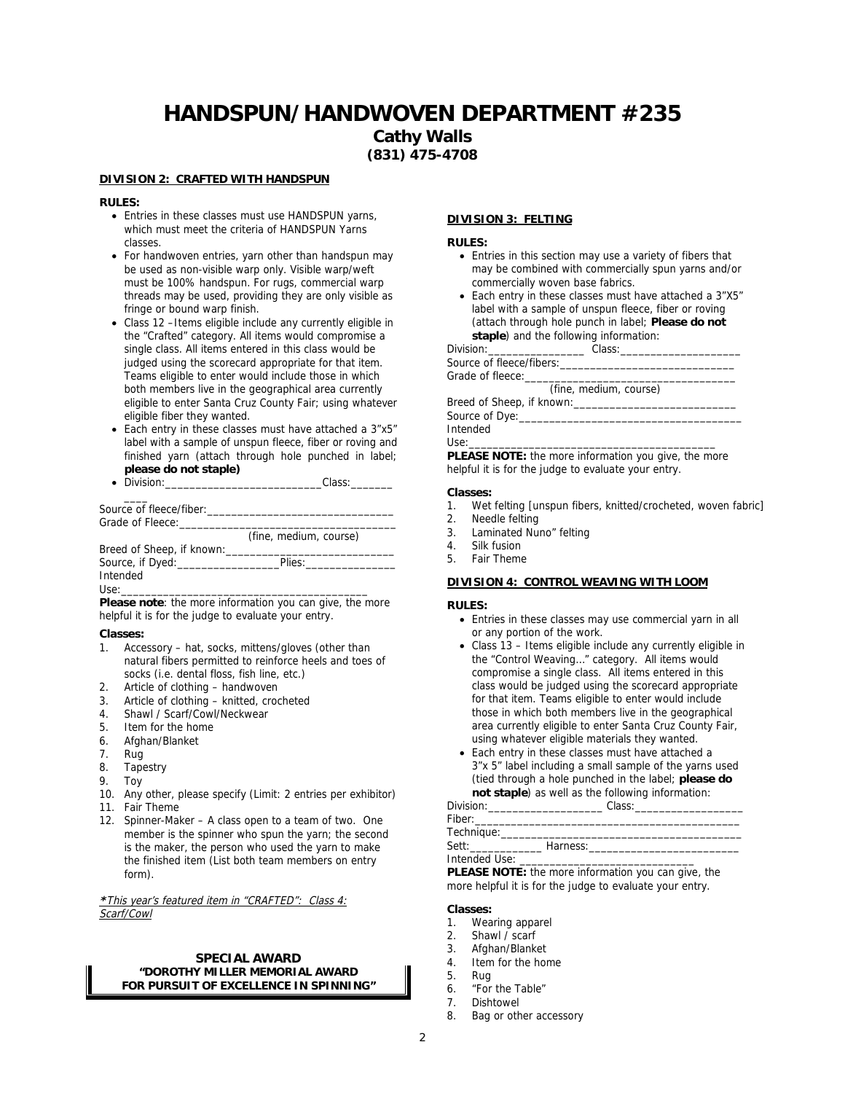**Cathy Walls**

**(831) 475-4708**

#### **DIVISION 2: CRAFTED WITH HANDSPUN**

**RULES:**

- Entries in these classes must use HANDSPUN yarns, which must meet the criteria of HANDSPUN Yarns classes.
- For handwoven entries, yarn other than handspun may be used as non-visible warp only. Visible warp/weft must be 100% handspun. For rugs, commercial warp threads may be used, providing they are only visible as fringe or bound warp finish.
- Class 12 –Items eligible include any currently eligible in the "Crafted" category. All items would compromise a single class. All items entered in this class would be judged using the scorecard appropriate for that item. Teams eligible to enter would include those in which both members live in the geographical area currently eligible to enter Santa Cruz County Fair; using whatever eligible fiber they wanted.
- Each entry in these classes must have attached a 3"x5" label with a sample of unspun fleece, fiber or roving and finished yarn (attach through hole punched in label; **please do not staple)**
- Division: Class:

| Source of fleece/fiber:<br>Grade of Fleece: |                        |  |
|---------------------------------------------|------------------------|--|
|                                             | (fine, medium, course) |  |
| Breed of Sheep, if known:                   |                        |  |
| Source, if Dyed:                            | Plies:                 |  |

Intended

Use:\_\_\_\_\_\_\_\_\_\_\_\_\_\_\_\_\_\_\_\_\_\_\_\_\_\_\_\_\_\_\_\_\_\_\_\_\_\_\_\_\_

Please note: the more information you can give, the more helpful it is for the judge to evaluate your entry.

**Classes:**

- 1. Accessory hat, socks, mittens/gloves (other than natural fibers permitted to reinforce heels and toes of socks (i.e. dental floss, fish line, etc.)
- 2. Article of clothing handwoven
- 3. Article of clothing knitted, crocheted
- 4. Shawl / Scarf/Cowl/Neckwear
- 5. Item for the home
- 6. Afghan/Blanket
- 7. Rug
- 8. Tapestry
- 9. Toy
- 10. Any other, please specify (Limit: 2 entries per exhibitor)
- 11. Fair Theme
- 12. Spinner-Maker A class open to a team of two. One member is the spinner who spun the yarn; the second is the maker, the person who used the yarn to make the finished item (List both team members on entry form).

**\***This year's featured item in "CRAFTED": Class 4: Scarf/Cowl

#### **SPECIAL AWARD "DOROTHY MILLER MEMORIAL AWARD FOR PURSUIT OF EXCELLENCE IN SPINNING"**

#### **DIVISION 3: FELTING**

**RULES:**

- Entries in this section may use a variety of fibers that may be combined with commercially spun yarns and/or commercially woven base fabrics.
- Each entry in these classes must have attached a 3"X5" label with a sample of unspun fleece, fiber or roving (attach through hole punch in label; **Please do not staple**) and the following information:

Division:\_\_\_\_\_\_\_\_\_\_\_\_\_\_\_\_ Class:\_\_\_\_\_\_\_\_\_\_\_\_\_\_\_\_\_\_\_\_ Source of fleece/fibers: Grade of fleece:

(fine, medium, course)

Breed of Sheep, if known:\_\_\_ Source of Dye:\_

Intended

Use:\_\_\_\_\_\_\_\_\_\_\_\_\_\_\_\_\_\_\_\_\_\_\_\_\_\_\_\_\_\_\_\_\_\_\_\_\_\_\_\_\_

**PLEASE NOTE:** the more information you give, the more helpful it is for the judge to evaluate your entry.

**Classes:**

- 1. Wet felting [unspun fibers, knitted/crocheted, woven fabric]
- 2. Needle felting
- 3. Laminated Nuno" felting
- 4. Silk fusion
- 5. Fair Theme

#### **DIVISION 4: CONTROL WEAVING WITH LOOM**

#### **RULES:**

- Entries in these classes may use commercial yarn in all or any portion of the work.
- Class 13 Items eligible include any currently eligible in the "Control Weaving…" category. All items would compromise a single class. All items entered in this class would be judged using the scorecard appropriate for that item. Teams eligible to enter would include those in which both members live in the geographical area currently eligible to enter Santa Cruz County Fair, using whatever eligible materials they wanted.
- Each entry in these classes must have attached a 3"x 5" label including a small sample of the yarns used (tied through a hole punched in the label; **please do not staple**) as well as the following information:<br>Division: Class:

| Division: the contract of the contract of the contract of the contract of the contract of the contract of the contract of the contract of the contract of the contract of the contract of the contract of the contract of the  | Class: |                                                                                                                                                                                                                                |
|--------------------------------------------------------------------------------------------------------------------------------------------------------------------------------------------------------------------------------|--------|--------------------------------------------------------------------------------------------------------------------------------------------------------------------------------------------------------------------------------|
| Fiber: The contract of the contract of the contract of the contract of the contract of the contract of the contract of the contract of the contract of the contract of the contract of the contract of the contract of the con |        |                                                                                                                                                                                                                                |
| Technique:                                                                                                                                                                                                                     |        |                                                                                                                                                                                                                                |
| Sett:                                                                                                                                                                                                                          |        | Harness: The Committee of the Committee of the Committee of the Committee of the Committee of the Committee of the Committee of the Committee of the Committee of the Committee of the Committee of the Committee of the Commi |
| Intended Use:                                                                                                                                                                                                                  |        |                                                                                                                                                                                                                                |

**PLEASE NOTE:** the more information you can give, the more helpful it is for the judge to evaluate your entry.

**Classes:**

- 1. Wearing apparel
- 2. Shawl / scarf
- 3. Afghan/Blanket
- 4. Item for the home
- 5. Rug
- 6. "For the Table"
- 7. Dishtowel
- 8. Bag or other accessory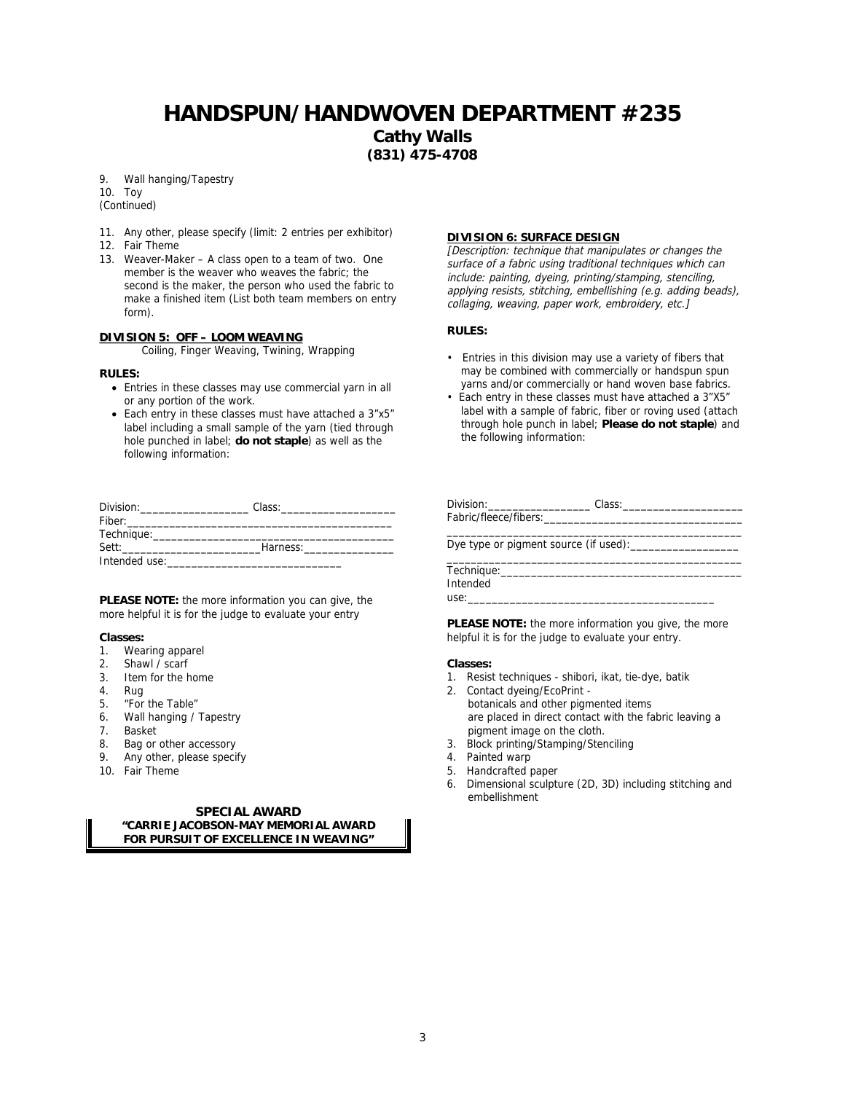**Cathy Walls (831) 475-4708**

9. Wall hanging/Tapestry

10. Toy

(Continued)

- 11. Any other, please specify (limit: 2 entries per exhibitor)
- 12. Fair Theme
- 13. Weaver-Maker A class open to a team of two. One member is the weaver who weaves the fabric; the second is the maker, the person who used the fabric to make a finished item (List both team members on entry form).

#### **DIVISION 5: OFF – LOOM WEAVING**

Coiling, Finger Weaving, Twining, Wrapping

**RULES:**

- Entries in these classes may use commercial yarn in all or any portion of the work.
- Each entry in these classes must have attached a 3"x5" label including a small sample of the yarn (tied through hole punched in label; **do not staple**) as well as the following information:

| Division:     | Class:   |  |
|---------------|----------|--|
| Fiber:        |          |  |
| Technique:    |          |  |
| Sett:         | Harness: |  |
| Intended use: |          |  |

**PLEASE NOTE:** the more information you can give, the more helpful it is for the judge to evaluate your entry

**Classes:**

- 1. Wearing apparel
- 2. Shawl / scarf
- 3. Item for the home
- 4. Rug
- 5. "For the Table"
- 6. Wall hanging / Tapestry
- 7. Basket
- 8. Bag or other accessory
- 9. Any other, please specify
- 10. Fair Theme

**SPECIAL AWARD "CARRIE JACOBSON-MAY MEMORIAL AWARD FOR PURSUIT OF EXCELLENCE IN WEAVING"**

#### **DIVISION 6: SURFACE DESIGN**

[Description: technique that manipulates or changes the surface of a fabric using traditional techniques which can include: painting, dyeing, printing/stamping, stenciling, applying resists, stitching, embellishing (e.g. adding beads), collaging, weaving, paper work, embroidery, etc.]

**RULES:**

- Entries in this division may use a variety of fibers that may be combined with commercially or handspun spun yarns and/or commercially or hand woven base fabrics.
- Each entry in these classes must have attached a 3"X5" label with a sample of fabric, fiber or roving used (attach through hole punch in label; **Please do not staple**) and the following information:

| Fabric/fleece/fibers:_________ |                                       |  |
|--------------------------------|---------------------------------------|--|
|                                |                                       |  |
|                                | Dye type or pigment source (if used): |  |
|                                |                                       |  |
|                                |                                       |  |
| Intended                       |                                       |  |
| use:                           |                                       |  |

**PLEASE NOTE:** the more information you give, the more helpful it is for the judge to evaluate your entry.

**Classes:**

- 1. Resist techniques shibori, ikat, tie-dye, batik
- 2. Contact dyeing/EcoPrint botanicals and other pigmented items are placed in direct contact with the fabric leaving a pigment image on the cloth.
- 3. Block printing/Stamping/Stenciling
- 4. Painted warp
- 5. Handcrafted paper
- 6. Dimensional sculpture (2D, 3D) including stitching and embellishment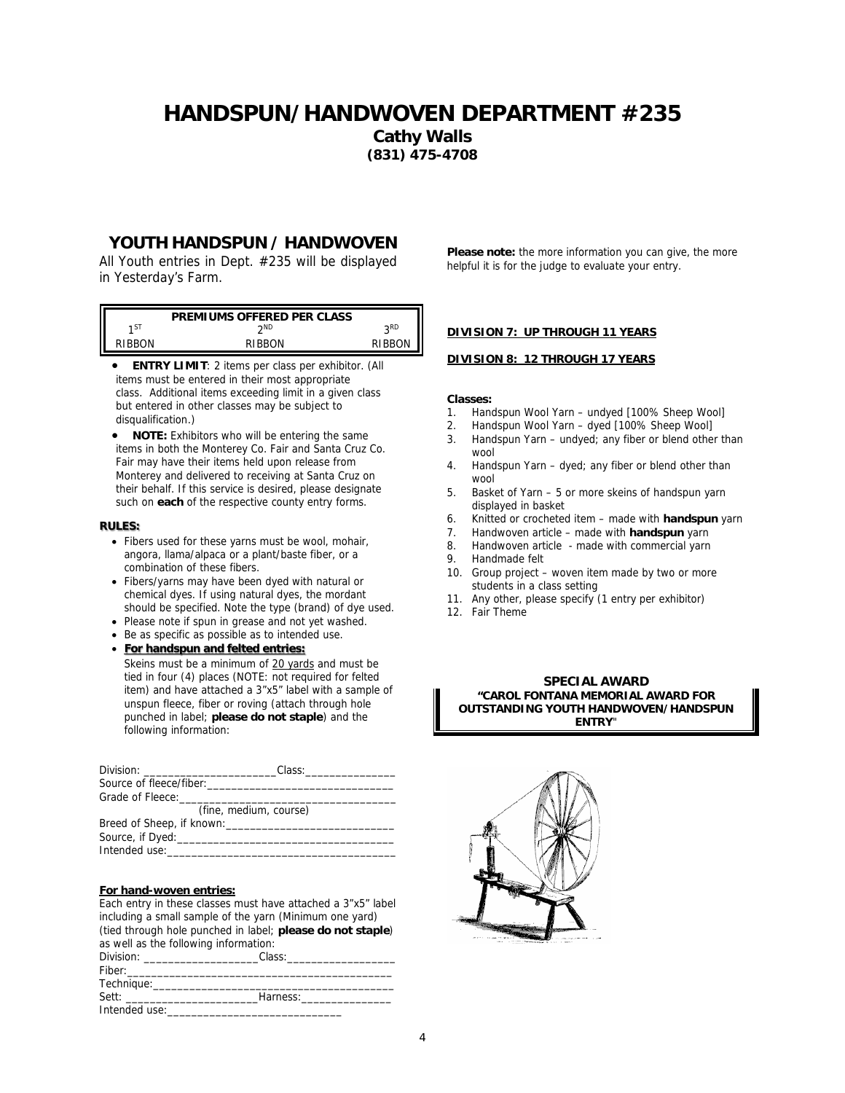**Cathy Walls (831) 475-4708**

## **YOUTH HANDSPUN / HANDWOVEN**

All Youth entries in Dept. #235 will be displayed in Yesterday's Farm.

|        | PREMIUMS OFFERED PER CLASS |                 |
|--------|----------------------------|-----------------|
| 1ST    | ንND                        | o <sub>RD</sub> |
| RIRRON | RIBRON                     | RIBBON          |

 **ENTRY LIMIT**: 2 items per class per exhibitor. (All items must be entered in their most appropriate class. Additional items exceeding limit in a given class but entered in other classes may be subject to disqualification.)

 **NOTE:** Exhibitors who will be entering the same items in both the Monterey Co. Fair and Santa Cruz Co. Fair may have their items held upon release from Monterey and delivered to receiving at Santa Cruz on their behalf. If this service is desired, please designate such on **each** of the respective county entry forms.

#### **RULES:**

- Fibers used for these yarns must be wool, mohair, angora, llama/alpaca or a plant/baste fiber, or a combination of these fibers.
- Fibers/yarns may have been dyed with natural or chemical dyes. If using natural dyes, the mordant should be specified. Note the type (brand) of dye used.
- Please note if spun in grease and not yet washed.
- Be as specific as possible as to intended use.

 **For handspun and felted entries:** Skeins must be a minimum of 20 yards and must be tied in four (4) places (NOTE: not required for felted item) and have attached a 3"x5" label with a sample of unspun fleece, fiber or roving (attach through hole punched in label; **please do not staple**) and the following information:

| Grade of Fleece: The contract of the contract of the contract of the contract of the contract of the contract of the contract of the contract of the contract of the contract of the contract of the contract of the contract |  |
|-------------------------------------------------------------------------------------------------------------------------------------------------------------------------------------------------------------------------------|--|
| (fine, medium, course)                                                                                                                                                                                                        |  |
| Breed of Sheep, if known:                                                                                                                                                                                                     |  |
|                                                                                                                                                                                                                               |  |
| Intended use: The control of the control of the control of the control of the control of the control of the co                                                                                                                |  |

#### **For hand-woven entries:**

| Each entry in these classes must have attached a 3"x5" label |                                                            |  |  |  |
|--------------------------------------------------------------|------------------------------------------------------------|--|--|--|
| including a small sample of the yarn (Minimum one yard)      |                                                            |  |  |  |
|                                                              | (tied through hole punched in label; please do not staple) |  |  |  |
| as well as the following information:                        |                                                            |  |  |  |
|                                                              |                                                            |  |  |  |
|                                                              |                                                            |  |  |  |
|                                                              |                                                            |  |  |  |
| Sett: Harness:                                               |                                                            |  |  |  |
| Intended use:                                                |                                                            |  |  |  |

**Please note:** the more information you can give, the more helpful it is for the judge to evaluate your entry.

#### **DIVISION 7: UP THROUGH 11 YEARS**

#### **DIVISION 8: 12 THROUGH 17 YEARS**

**Classes:**

- 1. Handspun Wool Yarn undyed [100% Sheep Wool]
- 2. Handspun Wool Yarn dyed [100% Sheep Wool]
- 3. Handspun Yarn undyed; any fiber or blend other than wool
- 4. Handspun Yarn dyed; any fiber or blend other than wool
- 5. Basket of Yarn 5 or more skeins of handspun yarn displayed in basket
- 6. Knitted or crocheted item made with **handspun** yarn
- 7. Handwoven article made with **handspun** yarn
- 8. Handwoven article made with commercial yarn
- 9. Handmade felt
- 10. Group project woven item made by two or more students in a class setting
- 11. Any other, please specify (1 entry per exhibitor)
- 12. Fair Theme

**SPECIAL AWARD "CAROL FONTANA MEMORIAL AWARD FOR OUTSTANDING YOUTH HANDWOVEN/HANDSPUN ENTRY**"

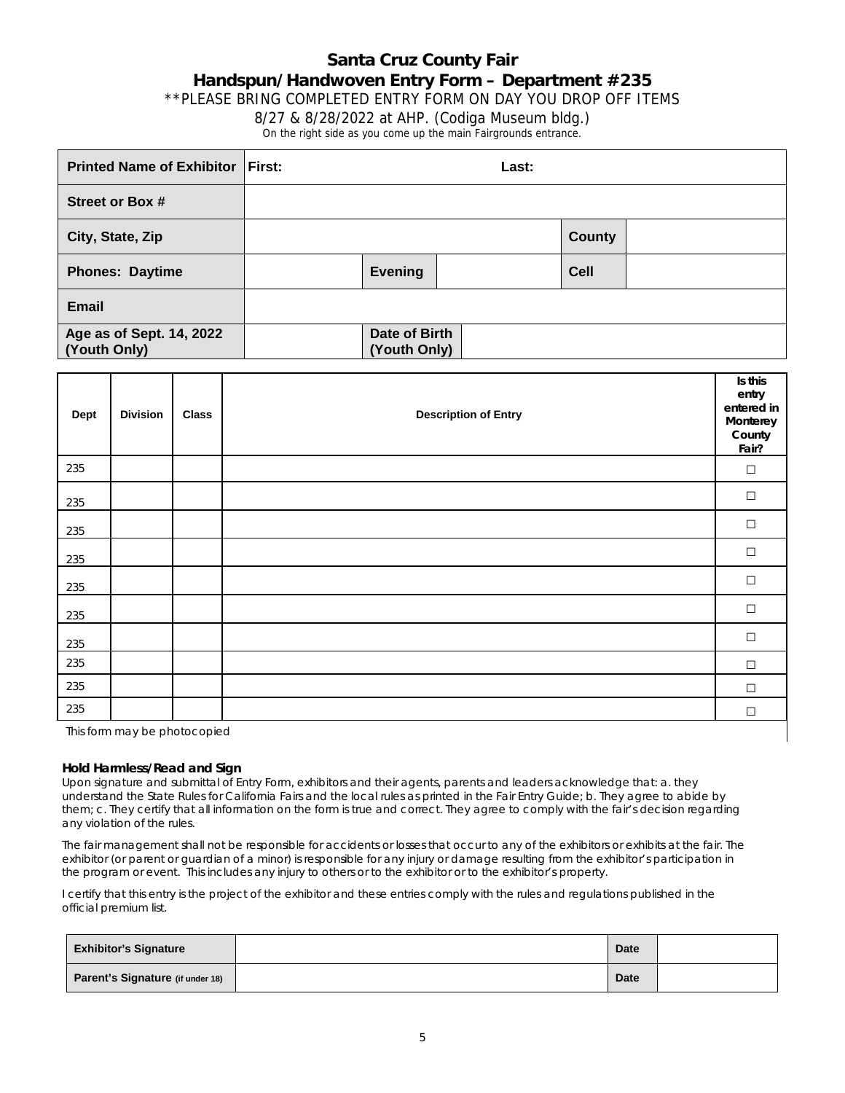## **Santa Cruz County Fair Handspun/Handwoven Entry Form – Department #235** \*\*PLEASE BRING COMPLETED ENTRY FORM ON DAY YOU DROP OFF ITEMS 8/27 & 8/28/2022 at AHP. (Codiga Museum bldg.) On the right side as you come up the main Fairgrounds entrance.

<span id="page-4-0"></span>

| <b>Printed Name of Exhibitor First:</b>  |                               | Last: |               |  |
|------------------------------------------|-------------------------------|-------|---------------|--|
| Street or Box #                          |                               |       |               |  |
| City, State, Zip                         |                               |       | <b>County</b> |  |
| <b>Phones: Daytime</b>                   | <b>Evening</b>                |       | <b>Cell</b>   |  |
| <b>Email</b>                             |                               |       |               |  |
| Age as of Sept. 14, 2022<br>(Youth Only) | Date of Birth<br>(Youth Only) |       |               |  |

| Dept | <b>Division</b> | <b>Class</b> | <b>Description of Entry</b> | Is this<br>entry<br>entered in<br>Monterey<br>County<br>Fair? |
|------|-----------------|--------------|-----------------------------|---------------------------------------------------------------|
| 235  |                 |              |                             | $\Box$                                                        |
| 235  |                 |              |                             | $\Box$                                                        |
| 235  |                 |              |                             | $\Box$                                                        |
| 235  |                 |              |                             | $\Box$                                                        |
| 235  |                 |              |                             | $\Box$                                                        |
| 235  |                 |              |                             | $\Box$                                                        |
| 235  |                 |              |                             | $\Box$                                                        |
| 235  |                 |              |                             | $\Box$                                                        |
| 235  |                 |              |                             | $\Box$                                                        |
| 235  |                 |              |                             | $\Box$                                                        |

This form may be photocopied

#### **Hold Harmless/Read and Sign**

Upon signature and submittal of Entry Form, exhibitors and their agents, parents and leaders acknowledge that: a. they understand the State Rules for California Fairs and the local rules as printed in the Fair Entry Guide; b. They agree to abide by them; c. They certify that all information on the form is true and correct. They agree to comply with the fair's decision regarding any violation of the rules.

The fair management shall not be responsible for accidents or losses that occur to any of the exhibitors or exhibits at the fair. The exhibitor (or parent or guardian of a minor) is responsible for any injury or damage resulting from the exhibitor's participation in the program or event. This includes any injury to others or to the exhibitor or to the exhibitor's property.

I certify that this entry is the project of the exhibitor and these entries comply with the rules and regulations published in the official premium list.

| <b>Exhibitor's Signature</b>     | <b>Date</b> |  |
|----------------------------------|-------------|--|
| Parent's Signature (if under 18) | Date        |  |